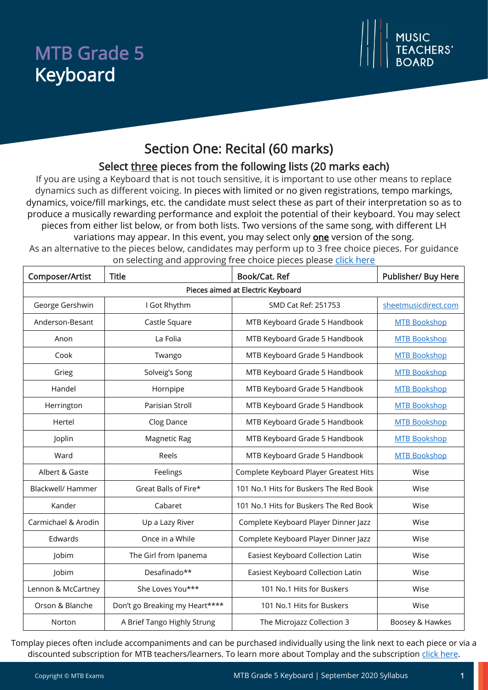# MTB Grade 5 Keyboard



# Section One: Recital (60 marks)

## Select three pieces from the following lists (20 marks each)

If you are using a Keyboard that is not touch sensitive, it is important to use other means to replace dynamics such as different voicing. In pieces with limited or no given registrations, tempo markings, dynamics, voice/fill markings, etc. the candidate must select these as part of their interpretation so as to produce a musically rewarding performance and exploit the potential of their keyboard. You may select pieces from either list below, or from both lists. Two versions of the same song, with different LH variations may appear. In this event, you may select only **one** version of the song.

As an alternative to the pieces below, candidates may perform up to 3 free choice pieces. For guidance on selecting and approving free choice pieces please [click here](https://www.mtbexams.com/how-it-works/free-choice-pieces-guidance/)

| Composer/Artist                   | <b>Title</b>                   | Book/Cat. Ref                                        | Publisher/ Buy Here |  |  |
|-----------------------------------|--------------------------------|------------------------------------------------------|---------------------|--|--|
| Pieces aimed at Electric Keyboard |                                |                                                      |                     |  |  |
| George Gershwin                   | I Got Rhythm                   | SMD Cat Ref: 251753<br>sheetmusicdirect.com          |                     |  |  |
| Anderson-Besant                   | Castle Square                  | MTB Keyboard Grade 5 Handbook<br><b>MTB Bookshop</b> |                     |  |  |
| Anon                              | La Folia                       | MTB Keyboard Grade 5 Handbook<br><b>MTB Bookshop</b> |                     |  |  |
| Cook                              | Twango                         | MTB Keyboard Grade 5 Handbook<br><b>MTB Bookshop</b> |                     |  |  |
| Grieg                             | Solveig's Song                 | MTB Keyboard Grade 5 Handbook<br><b>MTB Bookshop</b> |                     |  |  |
| Handel                            | Hornpipe                       | MTB Keyboard Grade 5 Handbook<br><b>MTB Bookshop</b> |                     |  |  |
| Herrington                        | Parisian Stroll                | MTB Keyboard Grade 5 Handbook                        | <b>MTB Bookshop</b> |  |  |
| Hertel                            | Clog Dance                     | MTB Keyboard Grade 5 Handbook                        | <b>MTB Bookshop</b> |  |  |
| Joplin                            | Magnetic Rag                   | MTB Keyboard Grade 5 Handbook<br><b>MTB Bookshop</b> |                     |  |  |
| Ward                              | Reels                          | MTB Keyboard Grade 5 Handbook<br><b>MTB Bookshop</b> |                     |  |  |
| Albert & Gaste                    | Feelings                       | Complete Keyboard Player Greatest Hits<br>Wise       |                     |  |  |
| Blackwell/ Hammer                 | Great Balls of Fire*           | 101 No.1 Hits for Buskers The Red Book<br>Wise       |                     |  |  |
| Kander                            | Cabaret                        | 101 No.1 Hits for Buskers The Red Book<br>Wise       |                     |  |  |
| Carmichael & Arodin               | Up a Lazy River                | Complete Keyboard Player Dinner Jazz<br>Wise         |                     |  |  |
| Edwards                           | Once in a While                | Complete Keyboard Player Dinner Jazz<br>Wise         |                     |  |  |
| Jobim                             | The Girl from Ipanema          | Easiest Keyboard Collection Latin<br>Wise            |                     |  |  |
| Jobim                             | Desafinado**                   | Easiest Keyboard Collection Latin<br>Wise            |                     |  |  |
| Lennon & McCartney                | She Loves You***               | 101 No.1 Hits for Buskers<br>Wise                    |                     |  |  |
| Orson & Blanche                   | Don't go Breaking my Heart**** | 101 No.1 Hits for Buskers<br>Wise                    |                     |  |  |
| Norton                            | A Brief Tango Highly Strung    | Boosey & Hawkes<br>The Microjazz Collection 3        |                     |  |  |

Tomplay pieces often include accompaniments and can be purchased individually using the link next to each piece or via a discounted subscription for MTB teachers/learners. To learn more about Tomplay and the subscription [click here.](https://www.mtbexams.com/2020/09/14/mtb-partner-with-tomplay/)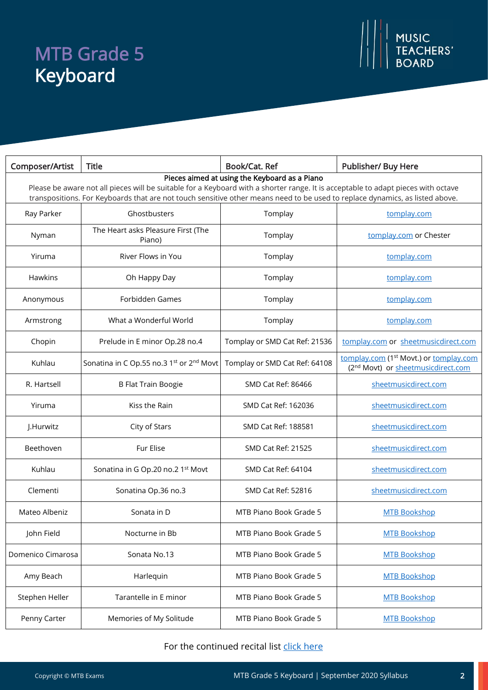# MTB Grade 5 Keyboard



| Composer/Artist                                                                                                                                                                                                                                                                                                    | <b>Title</b>                                 | Book/Cat. Ref                 | Publisher/ Buy Here                                                                                  |  |  |
|--------------------------------------------------------------------------------------------------------------------------------------------------------------------------------------------------------------------------------------------------------------------------------------------------------------------|----------------------------------------------|-------------------------------|------------------------------------------------------------------------------------------------------|--|--|
| Pieces aimed at using the Keyboard as a Piano<br>Please be aware not all pieces will be suitable for a Keyboard with a shorter range. It is acceptable to adapt pieces with octave<br>transpositions. For Keyboards that are not touch sensitive other means need to be used to replace dynamics, as listed above. |                                              |                               |                                                                                                      |  |  |
| Ray Parker                                                                                                                                                                                                                                                                                                         | Ghostbusters                                 | Tomplay                       | tomplay.com                                                                                          |  |  |
| Nyman                                                                                                                                                                                                                                                                                                              | The Heart asks Pleasure First (The<br>Piano) | Tomplay                       | tomplay.com or Chester                                                                               |  |  |
| Yiruma                                                                                                                                                                                                                                                                                                             | River Flows in You                           | Tomplay                       | tomplay.com                                                                                          |  |  |
| Hawkins                                                                                                                                                                                                                                                                                                            | Oh Happy Day                                 | Tomplay                       | tomplay.com                                                                                          |  |  |
| Anonymous                                                                                                                                                                                                                                                                                                          | Forbidden Games                              | Tomplay                       | tomplay.com                                                                                          |  |  |
| Armstrong                                                                                                                                                                                                                                                                                                          | What a Wonderful World                       | Tomplay                       | tomplay.com                                                                                          |  |  |
| Chopin                                                                                                                                                                                                                                                                                                             | Prelude in E minor Op.28 no.4                | Tomplay or SMD Cat Ref: 21536 | tomplay.com or sheetmusicdirect.com                                                                  |  |  |
| Kuhlau                                                                                                                                                                                                                                                                                                             | Sonatina in C Op.55 no.3 1st or 2nd Movt     | Tomplay or SMD Cat Ref: 64108 | tomplay.com (1 <sup>st</sup> Movt.) or tomplay.com<br>(2 <sup>nd</sup> Movt) or sheetmusicdirect.com |  |  |
| R. Hartsell                                                                                                                                                                                                                                                                                                        | <b>B Flat Train Boogie</b>                   | SMD Cat Ref: 86466            | sheetmusicdirect.com                                                                                 |  |  |
| Yiruma                                                                                                                                                                                                                                                                                                             | Kiss the Rain                                | SMD Cat Ref: 162036           | sheetmusicdirect.com                                                                                 |  |  |
| J.Hurwitz                                                                                                                                                                                                                                                                                                          | City of Stars                                | SMD Cat Ref: 188581           | sheetmusicdirect.com                                                                                 |  |  |
| Beethoven                                                                                                                                                                                                                                                                                                          | Fur Elise                                    | SMD Cat Ref: 21525            | sheetmusicdirect.com                                                                                 |  |  |
| Kuhlau                                                                                                                                                                                                                                                                                                             | Sonatina in G Op.20 no.2 1st Movt            | SMD Cat Ref: 64104            | sheetmusicdirect.com                                                                                 |  |  |
| Clementi                                                                                                                                                                                                                                                                                                           | Sonatina Op.36 no.3                          | <b>SMD Cat Ref: 52816</b>     | sheetmusicdirect.com                                                                                 |  |  |
| Mateo Albeniz                                                                                                                                                                                                                                                                                                      | Sonata in D                                  | MTB Piano Book Grade 5        | <b>MTB Bookshop</b>                                                                                  |  |  |
| John Field                                                                                                                                                                                                                                                                                                         | Nocturne in Bb                               | MTB Piano Book Grade 5        | <b>MTB Bookshop</b>                                                                                  |  |  |
| Domenico Cimarosa                                                                                                                                                                                                                                                                                                  | Sonata No.13                                 | MTB Piano Book Grade 5        | <b>MTB Bookshop</b>                                                                                  |  |  |
| Amy Beach                                                                                                                                                                                                                                                                                                          | Harlequin                                    | MTB Piano Book Grade 5        | <b>MTB Bookshop</b>                                                                                  |  |  |
| Stephen Heller                                                                                                                                                                                                                                                                                                     | Tarantelle in E minor                        | MTB Piano Book Grade 5        | <b>MTB Bookshop</b>                                                                                  |  |  |
| Penny Carter                                                                                                                                                                                                                                                                                                       | Memories of My Solitude                      | MTB Piano Book Grade 5        | <b>MTB Bookshop</b>                                                                                  |  |  |

#### For the continued recital list [click here](https://www.mtbexams.com/wp-content/uploads/2021/02/MTB-Keyboard-Grade-5-Continued-Recital-List.pdf)